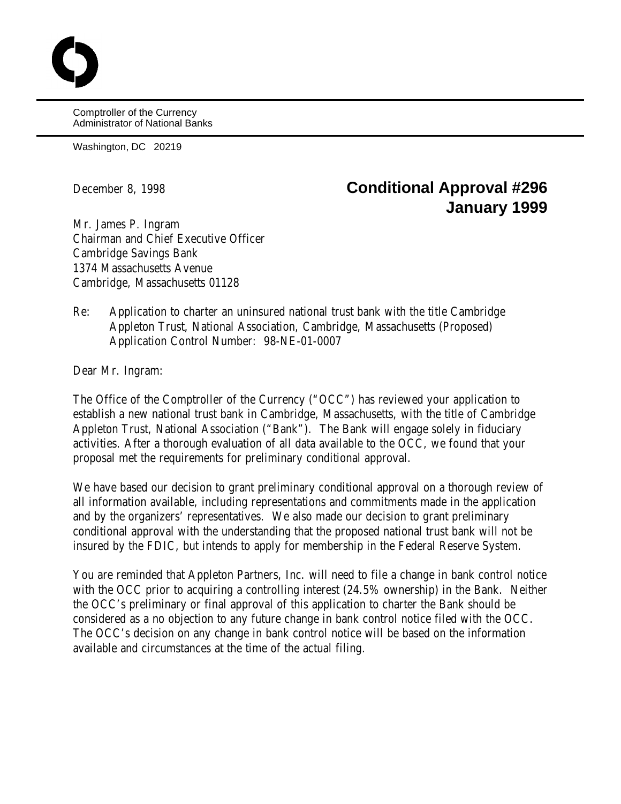Comptroller of the Currency Administrator of National Banks

Washington, DC 20219

## December 8, 1998 **Conditional Approval #296 January 1999**

Mr. James P. Ingram Chairman and Chief Executive Officer Cambridge Savings Bank 1374 Massachusetts Avenue Cambridge, Massachusetts 01128

Re: Application to charter an uninsured national trust bank with the title Cambridge Appleton Trust, National Association, Cambridge, Massachusetts (Proposed) Application Control Number: 98-NE-01-0007

Dear Mr. Ingram:

The Office of the Comptroller of the Currency ("OCC") has reviewed your application to establish a new national trust bank in Cambridge, Massachusetts, with the title of Cambridge Appleton Trust, National Association ("Bank"). The Bank will engage solely in fiduciary activities. After a thorough evaluation of all data available to the OCC, we found that your proposal met the requirements for preliminary conditional approval.

We have based our decision to grant preliminary conditional approval on a thorough review of all information available, including representations and commitments made in the application and by the organizers' representatives. We also made our decision to grant preliminary conditional approval with the understanding that the proposed national trust bank will not be insured by the FDIC, but intends to apply for membership in the Federal Reserve System.

You are reminded that Appleton Partners, Inc. will need to file a change in bank control notice with the OCC prior to acquiring a controlling interest  $(24.5\%$  ownership) in the Bank. Neither the OCC's preliminary or final approval of this application to charter the Bank should be considered as a no objection to any future change in bank control notice filed with the OCC. The OCC's decision on any change in bank control notice will be based on the information available and circumstances at the time of the actual filing.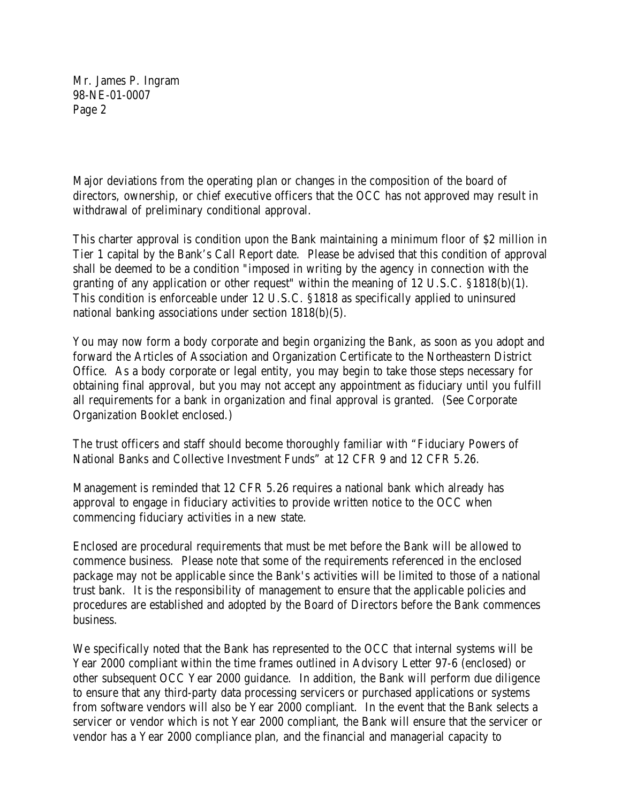Mr. James P. Ingram 98-NE-01-0007 Page 2

Major deviations from the operating plan or changes in the composition of the board of directors, ownership, or chief executive officers that the OCC has not approved may result in withdrawal of preliminary conditional approval.

This charter approval is condition upon the Bank maintaining a minimum floor of \$2 million in Tier 1 capital by the Bank's Call Report date. Please be advised that this condition of approval shall be deemed to be a condition "imposed in writing by the agency in connection with the granting of any application or other request" within the meaning of 12 U.S.C. §1818(b)(1). This condition is enforceable under 12 U.S.C. §1818 as specifically applied to uninsured national banking associations under section 1818(b)(5).

You may now form a body corporate and begin organizing the Bank, as soon as you adopt and forward the Articles of Association and Organization Certificate to the Northeastern District Office. As a body corporate or legal entity, you may begin to take those steps necessary for obtaining final approval, but you may not accept any appointment as fiduciary until you fulfill all requirements for a bank in organization and final approval is granted. (See Corporate Organization Booklet enclosed.)

The trust officers and staff should become thoroughly familiar with "Fiduciary Powers of National Banks and Collective Investment Funds" at 12 CFR 9 and 12 CFR 5.26.

Management is reminded that 12 CFR 5.26 requires a national bank which already has approval to engage in fiduciary activities to provide written notice to the OCC when commencing fiduciary activities in a new state.

Enclosed are procedural requirements that must be met before the Bank will be allowed to commence business. Please note that some of the requirements referenced in the enclosed package may not be applicable since the Bank's activities will be limited to those of a national trust bank. It is the responsibility of management to ensure that the applicable policies and procedures are established and adopted by the Board of Directors before the Bank commences business.

We specifically noted that the Bank has represented to the OCC that internal systems will be Year 2000 compliant within the time frames outlined in Advisory Letter 97-6 (enclosed) or other subsequent OCC Year 2000 guidance. In addition, the Bank will perform due diligence to ensure that any third-party data processing servicers or purchased applications or systems from software vendors will also be Year 2000 compliant. In the event that the Bank selects a servicer or vendor which is not Year 2000 compliant, the Bank will ensure that the servicer or vendor has a Year 2000 compliance plan, and the financial and managerial capacity to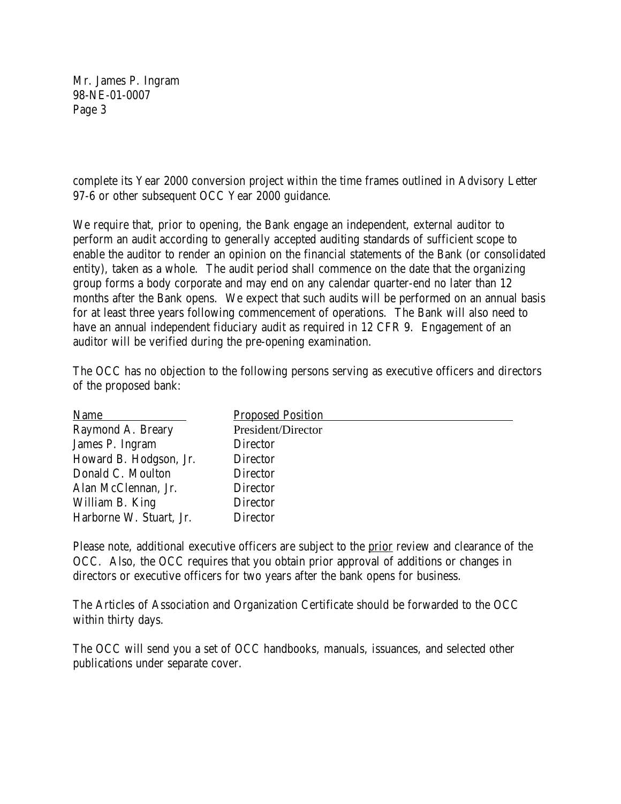Mr. James P. Ingram 98-NE-01-0007 Page 3

complete its Year 2000 conversion project within the time frames outlined in Advisory Letter 97-6 or other subsequent OCC Year 2000 guidance.

We require that, prior to opening, the Bank engage an independent, external auditor to perform an audit according to generally accepted auditing standards of sufficient scope to enable the auditor to render an opinion on the financial statements of the Bank (or consolidated entity), taken as a whole. The audit period shall commence on the date that the organizing group forms a body corporate and may end on any calendar quarter-end no later than 12 months after the Bank opens. We expect that such audits will be performed on an annual basis for at least three years following commencement of operations. The Bank will also need to have an annual independent fiduciary audit as required in 12 CFR 9. Engagement of an auditor will be verified during the pre-opening examination.

The OCC has no objection to the following persons serving as executive officers and directors of the proposed bank:

| <b>Proposed Position</b> |
|--------------------------|
| President/Director       |
| Director                 |
| Director                 |
| Director                 |
| Director                 |
| Director                 |
| <b>Director</b>          |
|                          |

Please note, additional executive officers are subject to the prior review and clearance of the OCC. Also, the OCC requires that you obtain prior approval of additions or changes in directors or executive officers for two years after the bank opens for business.

The Articles of Association and Organization Certificate should be forwarded to the OCC within thirty days.

The OCC will send you a set of OCC handbooks, manuals, issuances, and selected other publications under separate cover.